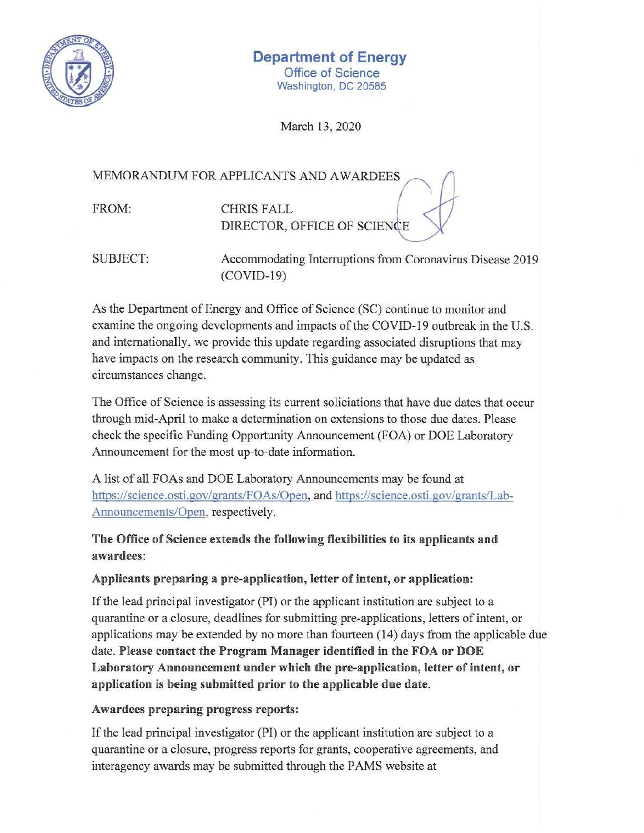

# **Department of Energy**

Office of Science Washington, DC 20585

March 13, 2020

## MEMORANDUM FOR APPLICANTS AND AWARDEES

FROM: CHRIS FALL DIRECTOR, OFFICE OF SCIENCE

SUBJECT: Accommodating Interruptions from Coronavirus Disease 2019 (COVID-19)

As the Department of Energy and Office of Science (SC) continue to monitor and examine the ongoing developments and impacts of the COVID-19 outbreak in the U.S. and internationally, we provide this update regarding associated dismptions that may have impacts on the research community. This guidance may be updated as circumstances change.

The Office of Science is assessing its current soliciations that have due dates that occur through mid-April to make a determination on extensions to those due dates. Please check the specific Funding Opportunity Announcement (FOA) or DOE Laboratory Announcement for the most up-to-date information.

A list of all FOAs and DOE Laboratory Announcements may be found at <https://science.osti.gov/grants/FOAs/Open>, and <https://science.osti.gov/grants/Lab>-Announcements/Open, respectively.

# The Office of Science extends the following flexibilities to its applicants and **awardees:**

## Applicants preparing a pre-application, letter of intent, or application:

If the lead principal investigator (PI) or the applicant institution are subject to a quarantine or a closure, deadlines for submitting pre-applications, letters of intent, or applications may be extended by no more than fourteen (14) days from the applicable due date. **Please contact the Program Manager identified in the FOA or DOE Laboratory Announcement under which the pre-application, letter of intent, or application is being submitted prior to the applicable due date.** 

## **Awardees preparing progress reports:**

Ifthe lead principal investigator (PI) or the applicant institution are subject to a quarantine or a closure, progress reports for grants, cooperative agreements, and interagency awards may be submitted through the PAMS website at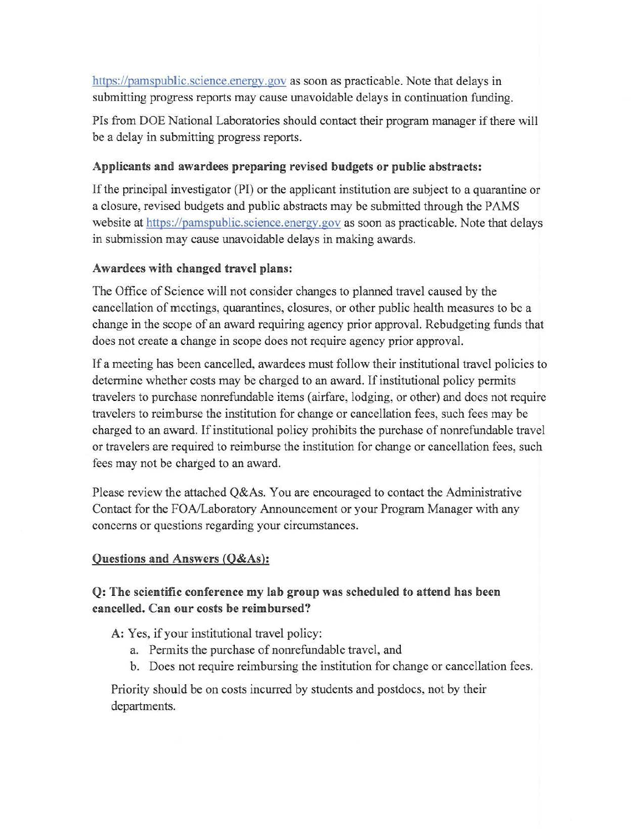<https://pamspublic.science.energy.gov> as soon as practicable. Note that delays in submitting progress reports may cause unavoidable delays in continuation funding.

PIs from DOE National Laboratories should contact their program manager if there will be a delay in submitting progress reports.

#### **Applicants and awardees preparing revised budgets or public abstracts:**

Ifthe principal investigator (PI) or the applicant institution are subject to a quarantine or a closure, revised budgets and public abstracts may be submitted through the PAMS website at<https://pamspublic.science.energy.gov> as soon as practicable. Note that delays in submission may cause unavoidable delays in making awards.

#### **Awardees with changed travel plans:**

The Office of Science will not consider changes to planned travel caused by the cancellation of meetings, quarantines, closures, or other public health measures to be a change in the scope of an award requiring agency prior approval. Rebudgeting funds that does not create a change in scope does not require agency prior approval.

Ifa meeting has been cancelled, awardees must follow their institutional travel policies to determine whether costs may be charged to an award. If institutional policy permits travelers to purchase nonrefundable items (airfare, lodging, or other) and does not require travelers to reimburse the institution for change or cancellation fees, such fees may be charged to an award. If institutional policy prohibits the purchase of nonrefundable travel or travelers are required to reimburse the institution for change or cancellation fees, such fees may not be charged to an award.

Please review the attached Q&As. You are encouraged to contact the Administrative Contact for the FOA/Laboratory Announcement or your Program Manager with any concerns or questions regarding your circumstances.

#### **Questions and Answers (Q&As):**

## **Q: The scientific conference my lab group was scheduled to attend has been cancelled. Can our costs be reimbursed?**

A: Yes, if your institutional travel policy:

- a. Permits the purchase of nonrefundable travel, and
- b. Does not require reimbursing the institution for change or cancellation fees.

Priority should be on costs incurred by students and postdocs, not by their departments.